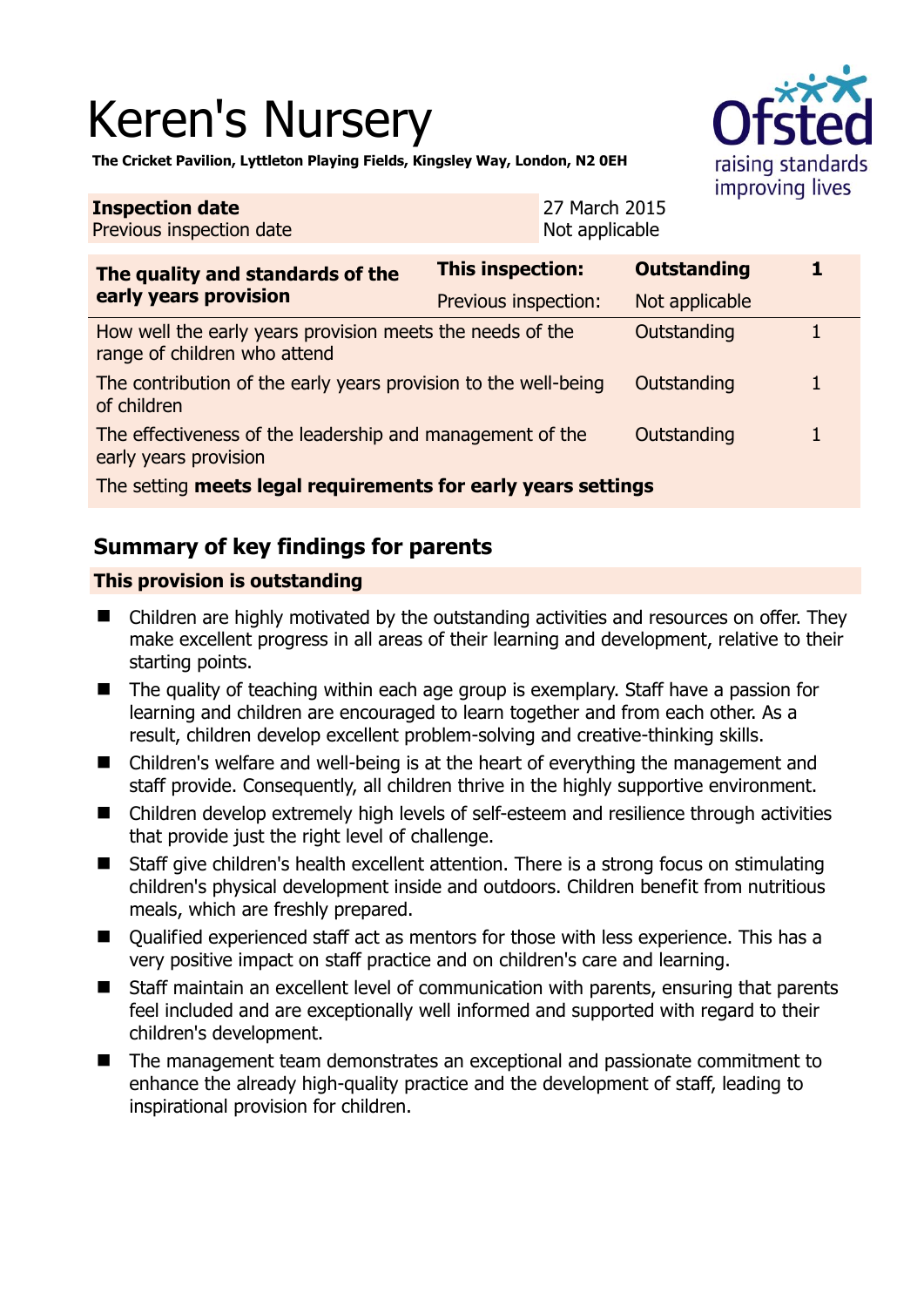# Keren's Nursery



**The Cricket Pavilion, Lyttleton Playing Fields, Kingsley Way, London, N2 0EH** 

| <b>Inspection date</b><br>Previous inspection date                                        |                         | 27 March 2015<br>Not applicable |                    |  |
|-------------------------------------------------------------------------------------------|-------------------------|---------------------------------|--------------------|--|
| The quality and standards of the<br>early years provision                                 | <b>This inspection:</b> |                                 | <b>Outstanding</b> |  |
|                                                                                           | Previous inspection:    |                                 | Not applicable     |  |
| How well the early years provision meets the needs of the<br>range of children who attend |                         |                                 | Outstanding        |  |
| The contribution of the early years provision to the well-being<br>of children            |                         |                                 | Outstanding        |  |
| The effectiveness of the leadership and management of the<br>early years provision        |                         |                                 | Outstanding        |  |
| The setting meets legal requirements for early years settings                             |                         |                                 |                    |  |

# **Summary of key findings for parents**

### **This provision is outstanding**

- Children are highly motivated by the outstanding activities and resources on offer. They make excellent progress in all areas of their learning and development, relative to their starting points.
- The quality of teaching within each age group is exemplary. Staff have a passion for learning and children are encouraged to learn together and from each other. As a result, children develop excellent problem-solving and creative-thinking skills.
- Children's welfare and well-being is at the heart of everything the management and staff provide. Consequently, all children thrive in the highly supportive environment.
- Children develop extremely high levels of self-esteem and resilience through activities that provide just the right level of challenge.
- Staff give children's health excellent attention. There is a strong focus on stimulating children's physical development inside and outdoors. Children benefit from nutritious meals, which are freshly prepared.
- Qualified experienced staff act as mentors for those with less experience. This has a very positive impact on staff practice and on children's care and learning.
- Staff maintain an excellent level of communication with parents, ensuring that parents feel included and are exceptionally well informed and supported with regard to their children's development.
- The management team demonstrates an exceptional and passionate commitment to enhance the already high-quality practice and the development of staff, leading to inspirational provision for children.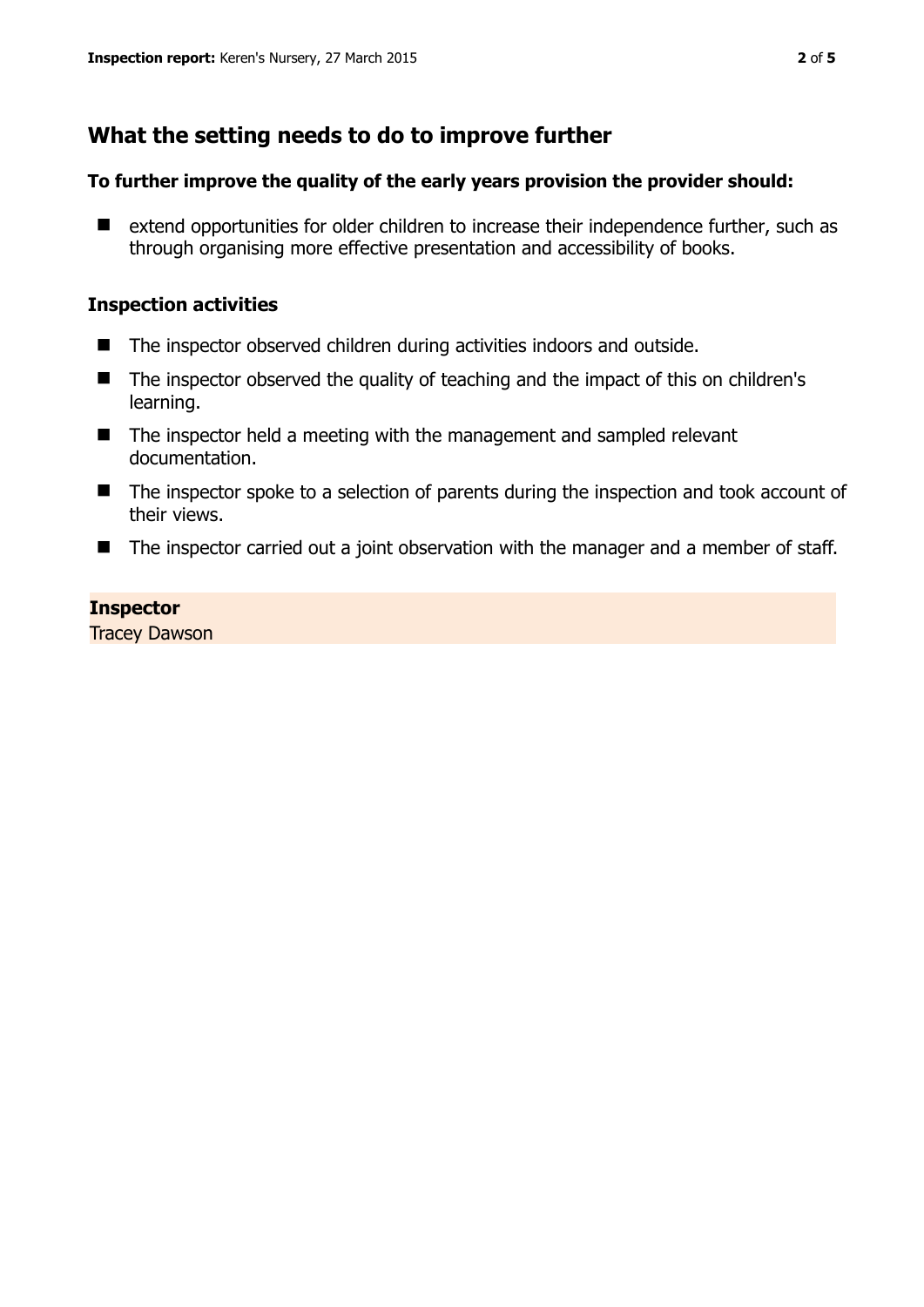## **What the setting needs to do to improve further**

#### **To further improve the quality of the early years provision the provider should:**

■ extend opportunities for older children to increase their independence further, such as through organising more effective presentation and accessibility of books.

#### **Inspection activities**

- The inspector observed children during activities indoors and outside.
- The inspector observed the quality of teaching and the impact of this on children's learning.
- $\blacksquare$  The inspector held a meeting with the management and sampled relevant documentation.
- The inspector spoke to a selection of parents during the inspection and took account of their views.
- The inspector carried out a joint observation with the manager and a member of staff.

#### **Inspector**

Tracey Dawson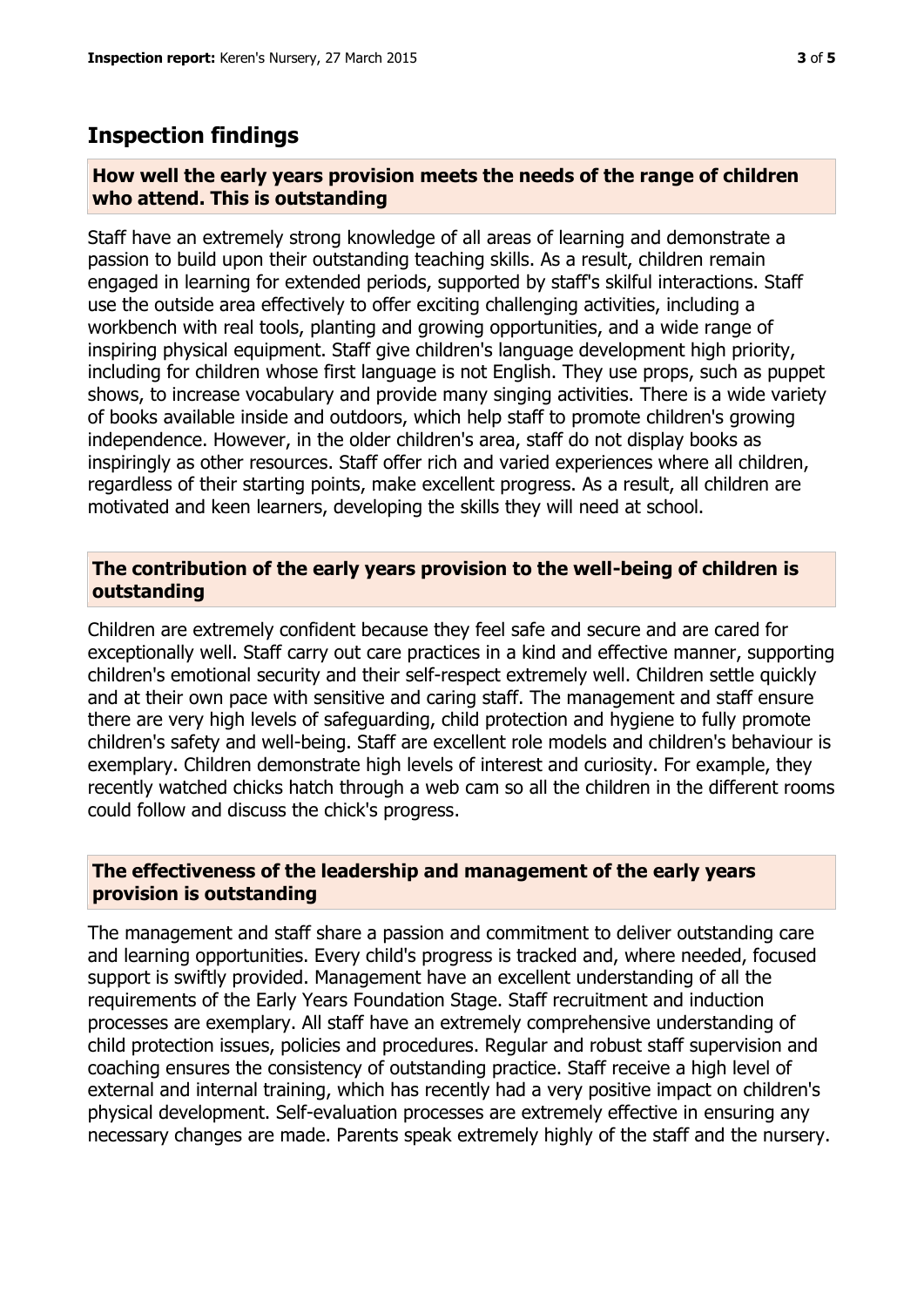## **Inspection findings**

#### **How well the early years provision meets the needs of the range of children who attend. This is outstanding**

Staff have an extremely strong knowledge of all areas of learning and demonstrate a passion to build upon their outstanding teaching skills. As a result, children remain engaged in learning for extended periods, supported by staff's skilful interactions. Staff use the outside area effectively to offer exciting challenging activities, including a workbench with real tools, planting and growing opportunities, and a wide range of inspiring physical equipment. Staff give children's language development high priority, including for children whose first language is not English. They use props, such as puppet shows, to increase vocabulary and provide many singing activities. There is a wide variety of books available inside and outdoors, which help staff to promote children's growing independence. However, in the older children's area, staff do not display books as inspiringly as other resources. Staff offer rich and varied experiences where all children, regardless of their starting points, make excellent progress. As a result, all children are motivated and keen learners, developing the skills they will need at school.

#### **The contribution of the early years provision to the well-being of children is outstanding**

Children are extremely confident because they feel safe and secure and are cared for exceptionally well. Staff carry out care practices in a kind and effective manner, supporting children's emotional security and their self-respect extremely well. Children settle quickly and at their own pace with sensitive and caring staff. The management and staff ensure there are very high levels of safeguarding, child protection and hygiene to fully promote children's safety and well-being. Staff are excellent role models and children's behaviour is exemplary. Children demonstrate high levels of interest and curiosity. For example, they recently watched chicks hatch through a web cam so all the children in the different rooms could follow and discuss the chick's progress.

#### **The effectiveness of the leadership and management of the early years provision is outstanding**

The management and staff share a passion and commitment to deliver outstanding care and learning opportunities. Every child's progress is tracked and, where needed, focused support is swiftly provided. Management have an excellent understanding of all the requirements of the Early Years Foundation Stage. Staff recruitment and induction processes are exemplary. All staff have an extremely comprehensive understanding of child protection issues, policies and procedures. Regular and robust staff supervision and coaching ensures the consistency of outstanding practice. Staff receive a high level of external and internal training, which has recently had a very positive impact on children's physical development. Self-evaluation processes are extremely effective in ensuring any necessary changes are made. Parents speak extremely highly of the staff and the nursery.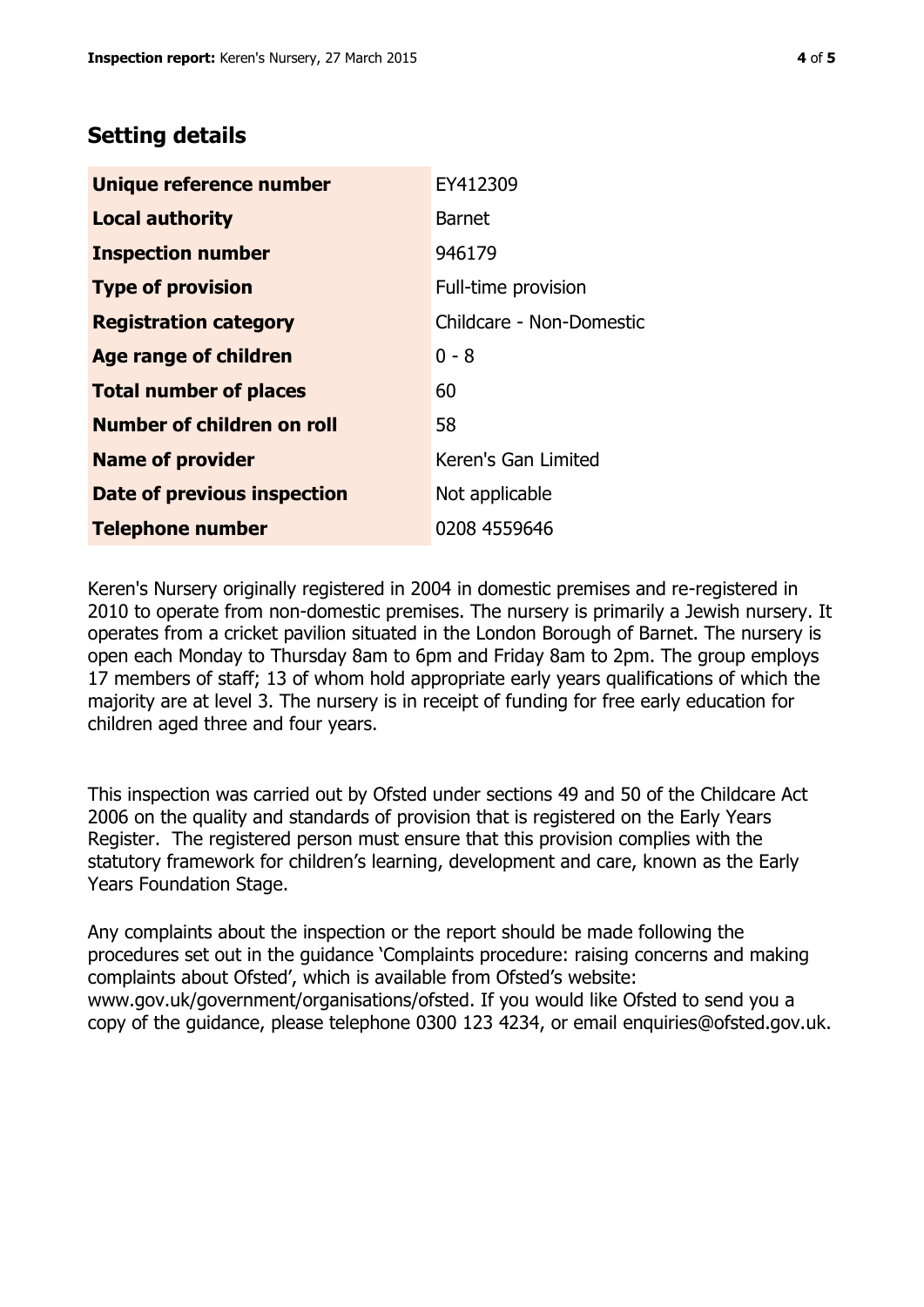## **Setting details**

| Unique reference number       | EY412309                 |  |
|-------------------------------|--------------------------|--|
| <b>Local authority</b>        | <b>Barnet</b>            |  |
| <b>Inspection number</b>      | 946179                   |  |
| <b>Type of provision</b>      | Full-time provision      |  |
| <b>Registration category</b>  | Childcare - Non-Domestic |  |
| <b>Age range of children</b>  | $0 - 8$                  |  |
| <b>Total number of places</b> | 60                       |  |
| Number of children on roll    | 58                       |  |
| <b>Name of provider</b>       | Keren's Gan Limited      |  |
| Date of previous inspection   | Not applicable           |  |
| <b>Telephone number</b>       | 0208 4559646             |  |

Keren's Nursery originally registered in 2004 in domestic premises and re-registered in 2010 to operate from non-domestic premises. The nursery is primarily a Jewish nursery. It operates from a cricket pavilion situated in the London Borough of Barnet. The nursery is open each Monday to Thursday 8am to 6pm and Friday 8am to 2pm. The group employs 17 members of staff; 13 of whom hold appropriate early years qualifications of which the majority are at level 3. The nursery is in receipt of funding for free early education for children aged three and four years.

This inspection was carried out by Ofsted under sections 49 and 50 of the Childcare Act 2006 on the quality and standards of provision that is registered on the Early Years Register. The registered person must ensure that this provision complies with the statutory framework for children's learning, development and care, known as the Early Years Foundation Stage.

Any complaints about the inspection or the report should be made following the procedures set out in the guidance 'Complaints procedure: raising concerns and making complaints about Ofsted', which is available from Ofsted's website: www.gov.uk/government/organisations/ofsted. If you would like Ofsted to send you a copy of the guidance, please telephone 0300 123 4234, or email enquiries@ofsted.gov.uk.